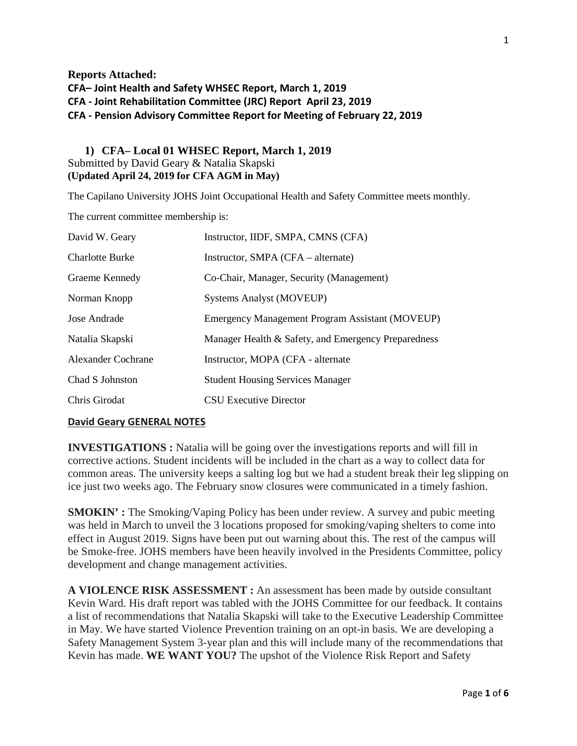**Reports Attached: CFA– Joint Health and Safety WHSEC Report, March 1, 2019 CFA - Joint Rehabilitation Committee (JRC) Report April 23, 2019 CFA - Pension Advisory Committee Report for Meeting of February 22, 2019**

## **1) CFA– Local 01 WHSEC Report, March 1, 2019** Submitted by David Geary & Natalia Skapski **(Updated April 24, 2019 for CFA AGM in May)**

The Capilano University JOHS Joint Occupational Health and Safety Committee meets monthly.

The current committee membership is:

| David W. Geary            | Instructor, IIDF, SMPA, CMNS (CFA)                     |
|---------------------------|--------------------------------------------------------|
| <b>Charlotte Burke</b>    | Instructor, SMPA (CFA – alternate)                     |
| Graeme Kennedy            | Co-Chair, Manager, Security (Management)               |
| Norman Knopp              | <b>Systems Analyst (MOVEUP)</b>                        |
| Jose Andrade              | <b>Emergency Management Program Assistant (MOVEUP)</b> |
| Natalia Skapski           | Manager Health & Safety, and Emergency Preparedness    |
| <b>Alexander Cochrane</b> | Instructor, MOPA (CFA - alternate)                     |
| Chad S Johnston           | <b>Student Housing Services Manager</b>                |
| Chris Girodat             | CSU Executive Director                                 |

### **David Geary GENERAL NOTES**

**INVESTIGATIONS :** Natalia will be going over the investigations reports and will fill in corrective actions. Student incidents will be included in the chart as a way to collect data for common areas. The university keeps a salting log but we had a student break their leg slipping on ice just two weeks ago. The February snow closures were communicated in a timely fashion.

**SMOKIN' :** The Smoking/Vaping Policy has been under review. A survey and pubic meeting was held in March to unveil the 3 locations proposed for smoking/vaping shelters to come into effect in August 2019. Signs have been put out warning about this. The rest of the campus will be Smoke-free. JOHS members have been heavily involved in the Presidents Committee, policy development and change management activities.

**A VIOLENCE RISK ASSESSMENT :** An assessment has been made by outside consultant Kevin Ward. His draft report was tabled with the JOHS Committee for our feedback. It contains a list of recommendations that Natalia Skapski will take to the Executive Leadership Committee in May. We have started Violence Prevention training on an opt-in basis. We are developing a Safety Management System 3-year plan and this will include many of the recommendations that Kevin has made. **WE WANT YOU?** The upshot of the Violence Risk Report and Safety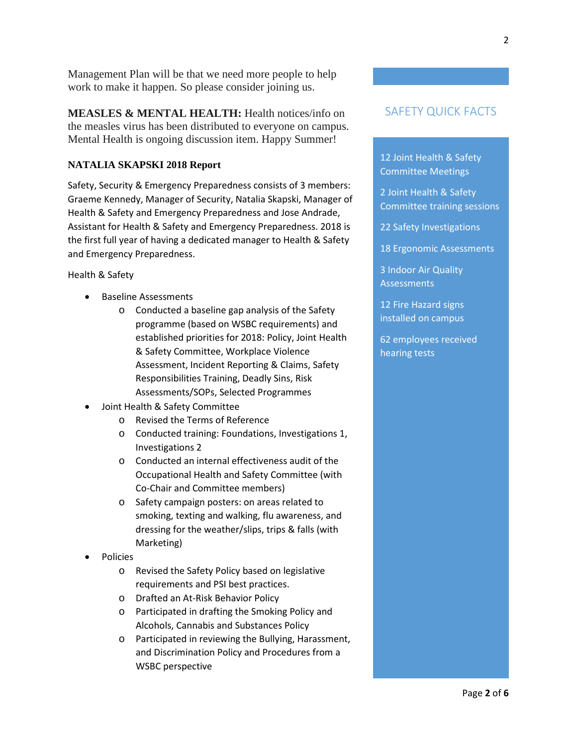Management Plan will be that we need more people to help work to make it happen. So please consider joining us.

**MEASLES & MENTAL HEALTH:** Health notices/info on the measles virus has been distributed to everyone on campus. Mental Health is ongoing discussion item. Happy Summer!

### **NATALIA SKAPSKI 2018 Report**

Safety, Security & Emergency Preparedness consists of 3 members: Graeme Kennedy, Manager of Security, Natalia Skapski, Manager of Health & Safety and Emergency Preparedness and Jose Andrade, Assistant for Health & Safety and Emergency Preparedness. 2018 is the first full year of having a dedicated manager to Health & Safety and Emergency Preparedness.

#### Health & Safety

- Baseline Assessments
	- o Conducted a baseline gap analysis of the Safety programme (based on WSBC requirements) and established priorities for 2018: Policy, Joint Health & Safety Committee, Workplace Violence Assessment, Incident Reporting & Claims, Safety Responsibilities Training, Deadly Sins, Risk Assessments/SOPs, Selected Programmes
- Joint Health & Safety Committee
	- o Revised the Terms of Reference
	- o Conducted training: Foundations, Investigations 1, Investigations 2
	- o Conducted an internal effectiveness audit of the Occupational Health and Safety Committee (with Co-Chair and Committee members)
	- o Safety campaign posters: on areas related to smoking, texting and walking, flu awareness, and dressing for the weather/slips, trips & falls (with Marketing)
- Policies
	- o Revised the Safety Policy based on legislative requirements and PSI best practices.
	- o Drafted an At-Risk Behavior Policy
	- o Participated in drafting the Smoking Policy and Alcohols, Cannabis and Substances Policy
	- o Participated in reviewing the Bullying, Harassment, and Discrimination Policy and Procedures from a WSBC perspective

# SAFETY QUICK FACTS

12 Joint Health & Safety Committee Meetings

2 Joint Health & Safety Committee training sessions

22 Safety Investigations

18 Ergonomic Assessments

3 Indoor Air Quality Assessments

12 Fire Hazard signs installed on campus

62 employees received hearing tests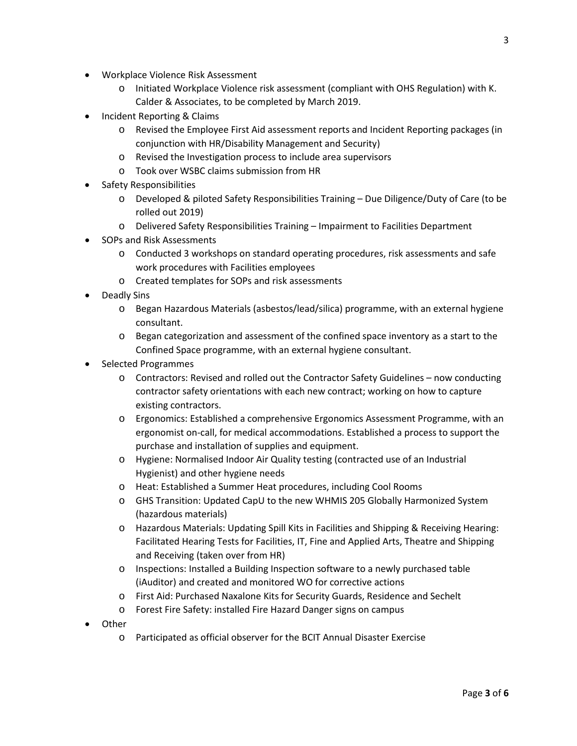- Workplace Violence Risk Assessment
	- o Initiated Workplace Violence risk assessment (compliant with OHS Regulation) with K. Calder & Associates, to be completed by March 2019.
- Incident Reporting & Claims
	- o Revised the Employee First Aid assessment reports and Incident Reporting packages (in conjunction with HR/Disability Management and Security)
	- o Revised the Investigation process to include area supervisors
	- o Took over WSBC claims submission from HR
- Safety Responsibilities
	- o Developed & piloted Safety Responsibilities Training Due Diligence/Duty of Care (to be rolled out 2019)
	- o Delivered Safety Responsibilities Training Impairment to Facilities Department
- SOPs and Risk Assessments
	- o Conducted 3 workshops on standard operating procedures, risk assessments and safe work procedures with Facilities employees
	- o Created templates for SOPs and risk assessments
- Deadly Sins
	- o Began Hazardous Materials (asbestos/lead/silica) programme, with an external hygiene consultant.
	- o Began categorization and assessment of the confined space inventory as a start to the Confined Space programme, with an external hygiene consultant.
- Selected Programmes
	- o Contractors: Revised and rolled out the Contractor Safety Guidelines now conducting contractor safety orientations with each new contract; working on how to capture existing contractors.
	- o Ergonomics: Established a comprehensive Ergonomics Assessment Programme, with an ergonomist on-call, for medical accommodations. Established a process to support the purchase and installation of supplies and equipment.
	- o Hygiene: Normalised Indoor Air Quality testing (contracted use of an Industrial Hygienist) and other hygiene needs
	- o Heat: Established a Summer Heat procedures, including Cool Rooms
	- o GHS Transition: Updated CapU to the new WHMIS 205 Globally Harmonized System (hazardous materials)
	- o Hazardous Materials: Updating Spill Kits in Facilities and Shipping & Receiving Hearing: Facilitated Hearing Tests for Facilities, IT, Fine and Applied Arts, Theatre and Shipping and Receiving (taken over from HR)
	- o Inspections: Installed a Building Inspection software to a newly purchased table (iAuditor) and created and monitored WO for corrective actions
	- o First Aid: Purchased Naxalone Kits for Security Guards, Residence and Sechelt
	- o Forest Fire Safety: installed Fire Hazard Danger signs on campus
- Other
	- o Participated as official observer for the BCIT Annual Disaster Exercise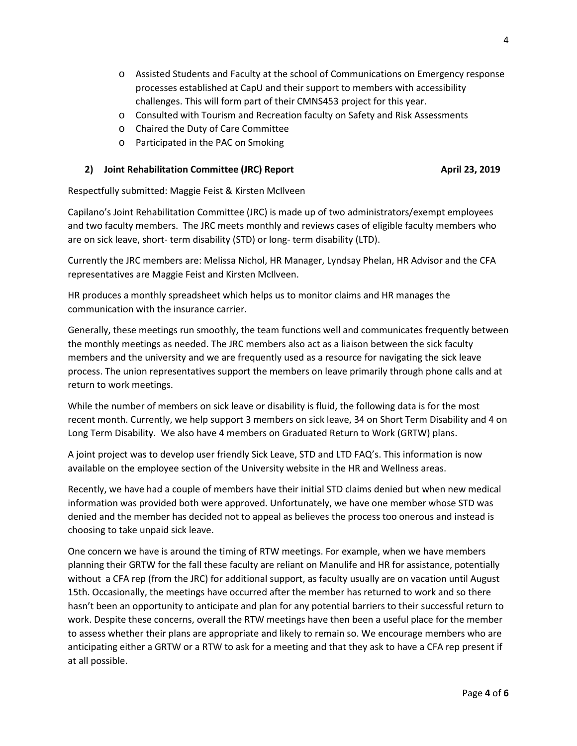- o Assisted Students and Faculty at the school of Communications on Emergency response processes established at CapU and their support to members with accessibility challenges. This will form part of their CMNS453 project for this year.
- o Consulted with Tourism and Recreation faculty on Safety and Risk Assessments
- o Chaired the Duty of Care Committee
- o Participated in the PAC on Smoking

### **2) Joint Rehabilitation Committee (JRC) Report <b>April 23, 2019 April 23, 2019**

Respectfully submitted: Maggie Feist & Kirsten McIlveen

Capilano's Joint Rehabilitation Committee (JRC) is made up of two administrators/exempt employees and two faculty members. The JRC meets monthly and reviews cases of eligible faculty members who are on sick leave, short- term disability (STD) or long- term disability (LTD).

Currently the JRC members are: Melissa Nichol, HR Manager, Lyndsay Phelan, HR Advisor and the CFA representatives are Maggie Feist and Kirsten McIlveen.

HR produces a monthly spreadsheet which helps us to monitor claims and HR manages the communication with the insurance carrier.

Generally, these meetings run smoothly, the team functions well and communicates frequently between the monthly meetings as needed. The JRC members also act as a liaison between the sick faculty members and the university and we are frequently used as a resource for navigating the sick leave process. The union representatives support the members on leave primarily through phone calls and at return to work meetings.

While the number of members on sick leave or disability is fluid, the following data is for the most recent month. Currently, we help support 3 members on sick leave, 34 on Short Term Disability and 4 on Long Term Disability. We also have 4 members on Graduated Return to Work (GRTW) plans.

A joint project was to develop user friendly Sick Leave, STD and LTD FAQ's. This information is now available on the employee section of the University website in the HR and Wellness areas.

Recently, we have had a couple of members have their initial STD claims denied but when new medical information was provided both were approved. Unfortunately, we have one member whose STD was denied and the member has decided not to appeal as believes the process too onerous and instead is choosing to take unpaid sick leave.

One concern we have is around the timing of RTW meetings. For example, when we have members planning their GRTW for the fall these faculty are reliant on Manulife and HR for assistance, potentially without a CFA rep (from the JRC) for additional support, as faculty usually are on vacation until August 15th. Occasionally, the meetings have occurred after the member has returned to work and so there hasn't been an opportunity to anticipate and plan for any potential barriers to their successful return to work. Despite these concerns, overall the RTW meetings have then been a useful place for the member to assess whether their plans are appropriate and likely to remain so. We encourage members who are anticipating either a GRTW or a RTW to ask for a meeting and that they ask to have a CFA rep present if at all possible.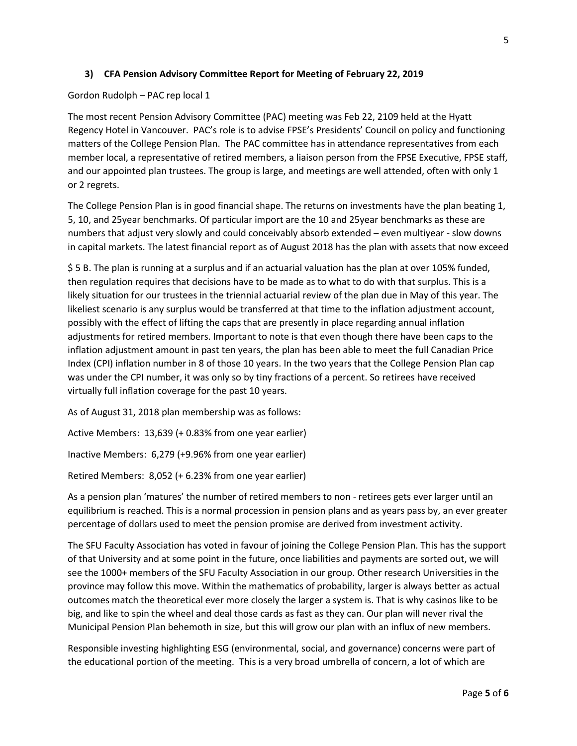## **3) CFA Pension Advisory Committee Report for Meeting of February 22, 2019**

## Gordon Rudolph – PAC rep local 1

The most recent Pension Advisory Committee (PAC) meeting was Feb 22, 2109 held at the Hyatt Regency Hotel in Vancouver. PAC's role is to advise FPSE's Presidents' Council on policy and functioning matters of the College Pension Plan. The PAC committee has in attendance representatives from each member local, a representative of retired members, a liaison person from the FPSE Executive, FPSE staff, and our appointed plan trustees. The group is large, and meetings are well attended, often with only 1 or 2 regrets.

The College Pension Plan is in good financial shape. The returns on investments have the plan beating 1, 5, 10, and 25year benchmarks. Of particular import are the 10 and 25year benchmarks as these are numbers that adjust very slowly and could conceivably absorb extended – even multiyear - slow downs in capital markets. The latest financial report as of August 2018 has the plan with assets that now exceed

\$ 5 B. The plan is running at a surplus and if an actuarial valuation has the plan at over 105% funded, then regulation requires that decisions have to be made as to what to do with that surplus. This is a likely situation for our trustees in the triennial actuarial review of the plan due in May of this year. The likeliest scenario is any surplus would be transferred at that time to the inflation adjustment account, possibly with the effect of lifting the caps that are presently in place regarding annual inflation adjustments for retired members. Important to note is that even though there have been caps to the inflation adjustment amount in past ten years, the plan has been able to meet the full Canadian Price Index (CPI) inflation number in 8 of those 10 years. In the two years that the College Pension Plan cap was under the CPI number, it was only so by tiny fractions of a percent. So retirees have received virtually full inflation coverage for the past 10 years.

As of August 31, 2018 plan membership was as follows:

Active Members: 13,639 (+ 0.83% from one year earlier)

Inactive Members: 6,279 (+9.96% from one year earlier)

Retired Members: 8,052 (+ 6.23% from one year earlier)

As a pension plan 'matures' the number of retired members to non - retirees gets ever larger until an equilibrium is reached. This is a normal procession in pension plans and as years pass by, an ever greater percentage of dollars used to meet the pension promise are derived from investment activity.

The SFU Faculty Association has voted in favour of joining the College Pension Plan. This has the support of that University and at some point in the future, once liabilities and payments are sorted out, we will see the 1000+ members of the SFU Faculty Association in our group. Other research Universities in the province may follow this move. Within the mathematics of probability, larger is always better as actual outcomes match the theoretical ever more closely the larger a system is. That is why casinos like to be big, and like to spin the wheel and deal those cards as fast as they can. Our plan will never rival the Municipal Pension Plan behemoth in size, but this will grow our plan with an influx of new members.

Responsible investing highlighting ESG (environmental, social, and governance) concerns were part of the educational portion of the meeting. This is a very broad umbrella of concern, a lot of which are